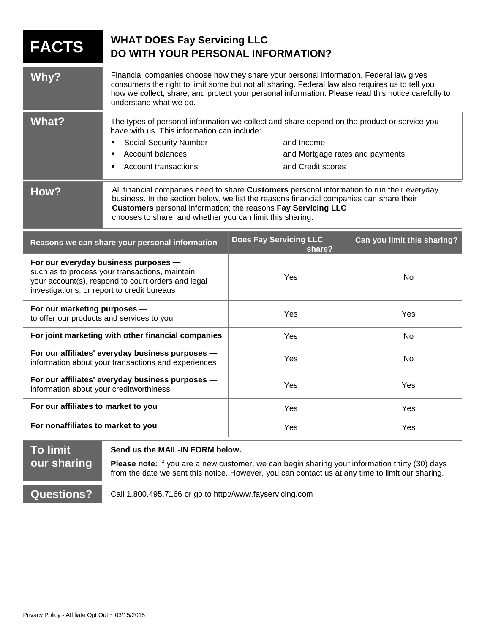| <b>FACTS</b>                                                                                                                                                                                | <b>WHAT DOES Fay Servicing LLC</b><br>DO WITH YOUR PERSONAL INFORMATION?                                                                                                                                                                                                                                                  |                                                      |                             |
|---------------------------------------------------------------------------------------------------------------------------------------------------------------------------------------------|---------------------------------------------------------------------------------------------------------------------------------------------------------------------------------------------------------------------------------------------------------------------------------------------------------------------------|------------------------------------------------------|-----------------------------|
| Why?                                                                                                                                                                                        | Financial companies choose how they share your personal information. Federal law gives<br>consumers the right to limit some but not all sharing. Federal law also requires us to tell you<br>how we collect, share, and protect your personal information. Please read this notice carefully to<br>understand what we do. |                                                      |                             |
| <b>What?</b>                                                                                                                                                                                | The types of personal information we collect and share depend on the product or service you<br>have with us. This information can include:<br>and Income<br><b>Social Security Number</b>                                                                                                                                 |                                                      |                             |
|                                                                                                                                                                                             | <b>Account balances</b><br>Account transactions                                                                                                                                                                                                                                                                           | and Mortgage rates and payments<br>and Credit scores |                             |
| How?                                                                                                                                                                                        | All financial companies need to share Customers personal information to run their everyday<br>business. In the section below, we list the reasons financial companies can share their<br>Customers personal information; the reasons Fay Servicing LLC<br>chooses to share; and whether you can limit this sharing.       |                                                      |                             |
|                                                                                                                                                                                             | Reasons we can share your personal information                                                                                                                                                                                                                                                                            | <b>Does Fay Servicing LLC</b><br>share?              | Can you limit this sharing? |
| For our everyday business purposes -<br>such as to process your transactions, maintain<br>your account(s), respond to court orders and legal<br>investigations, or report to credit bureaus |                                                                                                                                                                                                                                                                                                                           | Yes                                                  | No                          |
| For our marketing purposes -<br>to offer our products and services to you                                                                                                                   |                                                                                                                                                                                                                                                                                                                           | Yes                                                  | Yes                         |
| For joint marketing with other financial companies                                                                                                                                          |                                                                                                                                                                                                                                                                                                                           | Yes                                                  | No                          |
| For our affiliates' everyday business purposes -<br>information about your transactions and experiences                                                                                     |                                                                                                                                                                                                                                                                                                                           | Yes                                                  | No                          |
| For our affiliates' everyday business purposes -<br>information about your creditworthiness                                                                                                 |                                                                                                                                                                                                                                                                                                                           | Yes                                                  | Yes                         |
| For our affiliates to market to you                                                                                                                                                         |                                                                                                                                                                                                                                                                                                                           | Yes                                                  | Yes                         |
| For nonaffiliates to market to you                                                                                                                                                          |                                                                                                                                                                                                                                                                                                                           | Yes                                                  | Yes                         |
| <b>To limit</b><br>our sharing                                                                                                                                                              | Send us the MAIL-IN FORM below.<br>Please note: If you are a new customer, we can begin sharing your information thirty (30) days<br>from the date we sent this notice. However, you can contact us at any time to limit our sharing.                                                                                     |                                                      |                             |
| <b>Questions?</b>                                                                                                                                                                           | Call 1.800.495.7166 or go to http://www.fayservicing.com                                                                                                                                                                                                                                                                  |                                                      |                             |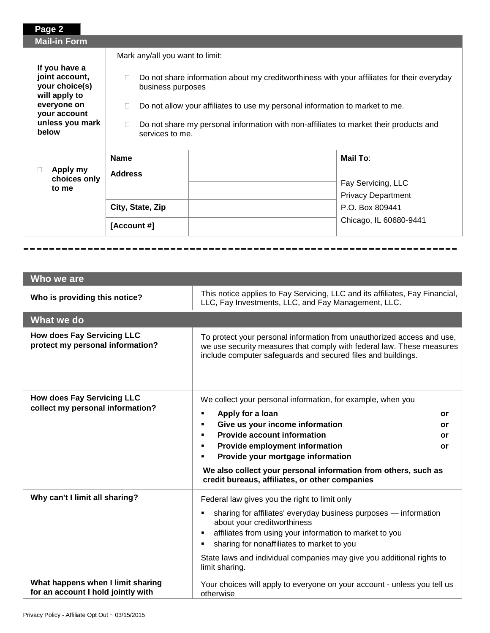| Page 2                                                                                                                        |                                                                                                                                                                                                                                                                                                                       |                                                 |
|-------------------------------------------------------------------------------------------------------------------------------|-----------------------------------------------------------------------------------------------------------------------------------------------------------------------------------------------------------------------------------------------------------------------------------------------------------------------|-------------------------------------------------|
| <b>Mail-in Form</b>                                                                                                           |                                                                                                                                                                                                                                                                                                                       |                                                 |
|                                                                                                                               | Mark any/all you want to limit:                                                                                                                                                                                                                                                                                       |                                                 |
| If you have a<br>joint account,<br>your choice(s)<br>will apply to<br>everyone on<br>your account<br>unless you mark<br>helow | Do not share information about my creditworthiness with your affiliates for their everyday<br>business purposes<br>Do not allow your affiliates to use my personal information to market to me.<br>Do not share my personal information with non-affiliates to market their products and<br>$\Box$<br>services to me. |                                                 |
|                                                                                                                               | <b>Name</b>                                                                                                                                                                                                                                                                                                           | <b>Mail To:</b>                                 |
| Apply my<br>choices only<br>to me                                                                                             | <b>Address</b>                                                                                                                                                                                                                                                                                                        | Fay Servicing, LLC<br><b>Privacy Department</b> |
|                                                                                                                               | City, State, Zip                                                                                                                                                                                                                                                                                                      | P.O. Box 809441                                 |
|                                                                                                                               | [Account #]                                                                                                                                                                                                                                                                                                           | Chicago, IL 60680-9441                          |
|                                                                                                                               |                                                                                                                                                                                                                                                                                                                       |                                                 |

| Who we are                                                                                                                                                                                                                                                                                                                                                                                                                      |                                                                                                                                                                                                                                                                                                                                                                                                                                             |  |
|---------------------------------------------------------------------------------------------------------------------------------------------------------------------------------------------------------------------------------------------------------------------------------------------------------------------------------------------------------------------------------------------------------------------------------|---------------------------------------------------------------------------------------------------------------------------------------------------------------------------------------------------------------------------------------------------------------------------------------------------------------------------------------------------------------------------------------------------------------------------------------------|--|
| Who is providing this notice?                                                                                                                                                                                                                                                                                                                                                                                                   | This notice applies to Fay Servicing, LLC and its affiliates, Fay Financial,<br>LLC, Fay Investments, LLC, and Fay Management, LLC.                                                                                                                                                                                                                                                                                                         |  |
| What we do                                                                                                                                                                                                                                                                                                                                                                                                                      |                                                                                                                                                                                                                                                                                                                                                                                                                                             |  |
| <b>How does Fay Servicing LLC</b><br>protect my personal information?                                                                                                                                                                                                                                                                                                                                                           | To protect your personal information from unauthorized access and use,<br>we use security measures that comply with federal law. These measures<br>include computer safeguards and secured files and buildings.                                                                                                                                                                                                                             |  |
| <b>How does Fay Servicing LLC</b><br>collect my personal information?                                                                                                                                                                                                                                                                                                                                                           | We collect your personal information, for example, when you<br>Apply for a loan<br>$\blacksquare$<br>or<br>Give us your income information<br>٠<br>or<br><b>Provide account information</b><br>$\blacksquare$<br>or<br>Provide employment information<br>٠<br>or<br>Provide your mortgage information<br>$\blacksquare$<br>We also collect your personal information from others, such as<br>credit bureaus, affiliates, or other companies |  |
| Why can't I limit all sharing?<br>Federal law gives you the right to limit only<br>sharing for affiliates' everyday business purposes - information<br>$\blacksquare$<br>about your creditworthiness<br>affiliates from using your information to market to you<br>٠<br>sharing for nonaffiliates to market to you<br>$\blacksquare$<br>State laws and individual companies may give you additional rights to<br>limit sharing. |                                                                                                                                                                                                                                                                                                                                                                                                                                             |  |
| What happens when I limit sharing<br>for an account I hold jointly with                                                                                                                                                                                                                                                                                                                                                         | Your choices will apply to everyone on your account - unless you tell us<br>otherwise                                                                                                                                                                                                                                                                                                                                                       |  |